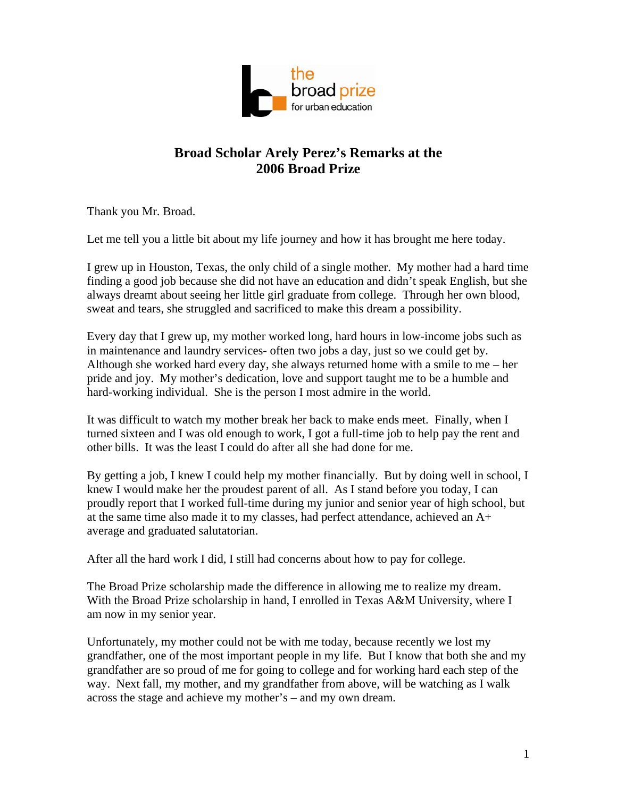

## **Broad Scholar Arely Perez's Remarks at the 2006 Broad Prize**

Thank you Mr. Broad.

Let me tell you a little bit about my life journey and how it has brought me here today.

I grew up in Houston, Texas, the only child of a single mother. My mother had a hard time finding a good job because she did not have an education and didn't speak English, but she always dreamt about seeing her little girl graduate from college. Through her own blood, sweat and tears, she struggled and sacrificed to make this dream a possibility.

Every day that I grew up, my mother worked long, hard hours in low-income jobs such as in maintenance and laundry services- often two jobs a day, just so we could get by. Although she worked hard every day, she always returned home with a smile to me – her pride and joy. My mother's dedication, love and support taught me to be a humble and hard-working individual. She is the person I most admire in the world.

It was difficult to watch my mother break her back to make ends meet. Finally, when I turned sixteen and I was old enough to work, I got a full-time job to help pay the rent and other bills. It was the least I could do after all she had done for me.

By getting a job, I knew I could help my mother financially. But by doing well in school, I knew I would make her the proudest parent of all. As I stand before you today, I can proudly report that I worked full-time during my junior and senior year of high school, but at the same time also made it to my classes, had perfect attendance, achieved an A+ average and graduated salutatorian.

After all the hard work I did, I still had concerns about how to pay for college.

The Broad Prize scholarship made the difference in allowing me to realize my dream. With the Broad Prize scholarship in hand, I enrolled in Texas A&M University, where I am now in my senior year.

Unfortunately, my mother could not be with me today, because recently we lost my grandfather, one of the most important people in my life. But I know that both she and my grandfather are so proud of me for going to college and for working hard each step of the way. Next fall, my mother, and my grandfather from above, will be watching as I walk across the stage and achieve my mother's – and my own dream.